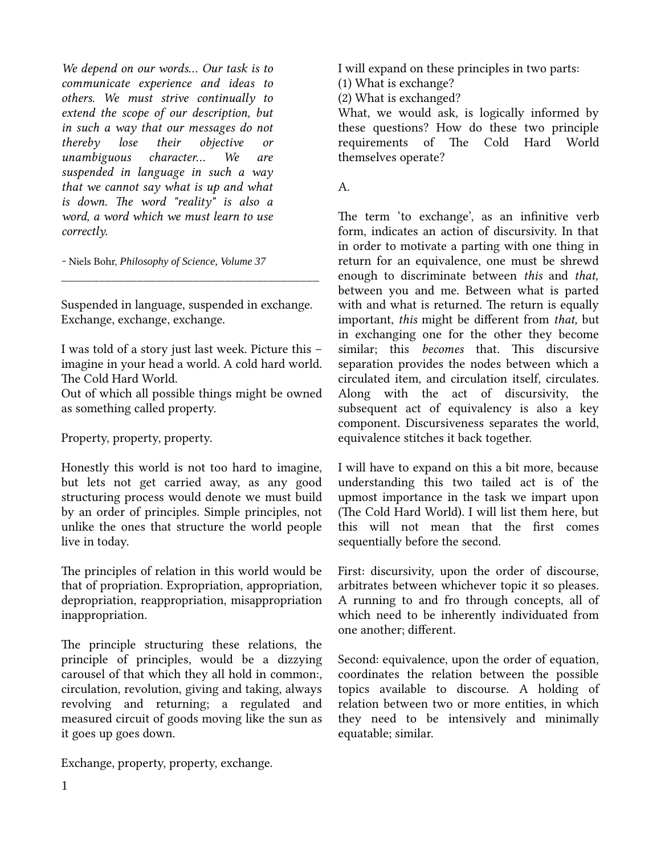We depend on our words... Our task is to communicate experience and ideas to others. We must strive continually to extend the scope of our description, but in such a way that our messages do not thereby lose their objective or unambiguous character... We are suspended in language in such a way that we cannot say what is up and what is down. The word "reality" is also a word, a word which we must learn to use correctly.

- Niels Bohr, *Philosophy of Science, Volume 37*

Suspended in language, suspended in exchange. Exchange, exchange, exchange.

\_\_\_\_\_\_\_\_\_\_\_\_\_\_\_\_\_\_\_\_\_\_\_\_\_\_\_\_\_\_\_\_\_\_\_\_\_\_\_\_\_

I was told of a story just last week. Picture this – imagine in your head a world. A cold hard world. The Cold Hard World.

Out of which all possible things might be owned as something called property.

Property, property, property.

Honestly this world is not too hard to imagine, but lets not get carried away, as any good structuring process would denote we must build by an order of principles. Simple principles, not unlike the ones that structure the world people live in today.

The principles of relation in this world would be that of propriation. Expropriation, appropriation, depropriation, reappropriation, misappropriation inappropriation.

The principle structuring these relations, the principle of principles, would be a dizzying carousel of that which they all hold in common:, circulation, revolution, giving and taking, always revolving and returning; a regulated and measured circuit of goods moving like the sun as it goes up goes down.

Exchange, property, property, exchange.

I will expand on these principles in two parts:

(1) What is exchange?

(2) What is exchanged?

What, we would ask, is logically informed by these questions? How do these two principle requirements of The Cold Hard World themselves operate?

A.

The term 'to exchange', as an infinitive verb form, indicates an action of discursivity. In that in order to motivate a parting with one thing in return for an equivalence, one must be shrewd enough to discriminate between this and that, between you and me. Between what is parted with and what is returned. The return is equally important, this might be different from that, but in exchanging one for the other they become similar; this *becomes* that. This discursive separation provides the nodes between which a circulated item, and circulation itself, circulates. Along with the act of discursivity, the subsequent act of equivalency is also a key component. Discursiveness separates the world, equivalence stitches it back together.

I will have to expand on this a bit more, because understanding this two tailed act is of the upmost importance in the task we impart upon (The Cold Hard World). I will list them here, but this will not mean that the first comes sequentially before the second.

First: discursivity, upon the order of discourse, arbitrates between whichever topic it so pleases. A running to and fro through concepts, all of which need to be inherently individuated from one another; different.

Second: equivalence, upon the order of equation, coordinates the relation between the possible topics available to discourse. A holding of relation between two or more entities, in which they need to be intensively and minimally equatable; similar.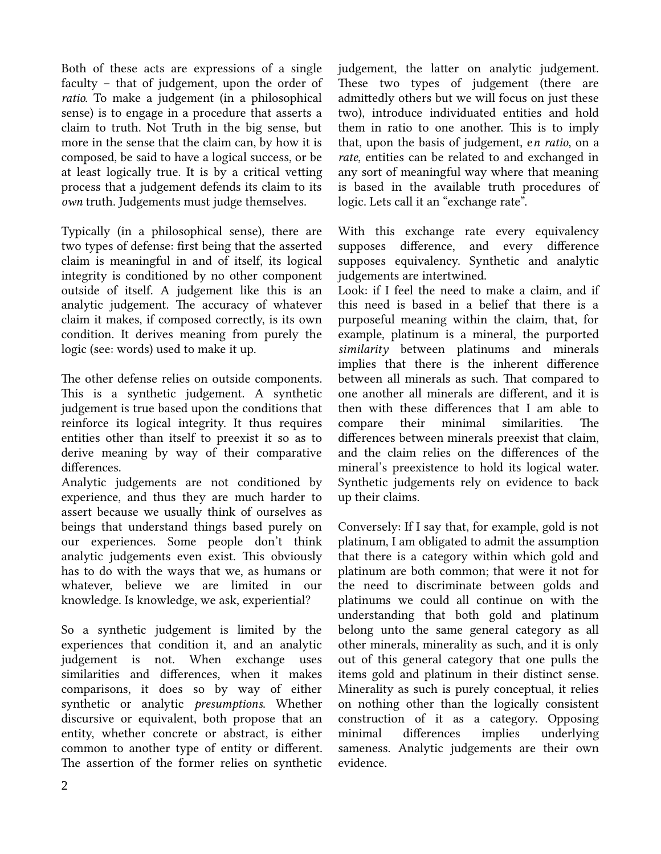Both of these acts are expressions of a single faculty – that of judgement, upon the order of ratio. To make a judgement (in a philosophical sense) is to engage in a procedure that asserts a claim to truth. Not Truth in the big sense, but more in the sense that the claim can, by how it is composed, be said to have a logical success, or be at least logically true. It is by a critical vetting process that a judgement defends its claim to its own truth. Judgements must judge themselves.

Typically (in a philosophical sense), there are two types of defense: first being that the asserted claim is meaningful in and of itself, its logical integrity is conditioned by no other component outside of itself. A judgement like this is an analytic judgement. The accuracy of whatever claim it makes, if composed correctly, is its own condition. It derives meaning from purely the logic (see: words) used to make it up.

The other defense relies on outside components. This is a synthetic judgement. A synthetic judgement is true based upon the conditions that reinforce its logical integrity. It thus requires entities other than itself to preexist it so as to derive meaning by way of their comparative differences.

Analytic judgements are not conditioned by experience, and thus they are much harder to assert because we usually think of ourselves as beings that understand things based purely on our experiences. Some people don't think analytic judgements even exist. This obviously has to do with the ways that we, as humans or whatever, believe we are limited in our knowledge. Is knowledge, we ask, experiential?

So a synthetic judgement is limited by the experiences that condition it, and an analytic judgement is not. When exchange uses similarities and differences, when it makes comparisons, it does so by way of either synthetic or analytic *presumptions*. Whether discursive or equivalent, both propose that an entity, whether concrete or abstract, is either common to another type of entity or different. The assertion of the former relies on synthetic judgement, the latter on analytic judgement. These two types of judgement (there are admittedly others but we will focus on just these two), introduce individuated entities and hold them in ratio to one another. This is to imply that, upon the basis of judgement, en ratio, on a rate, entities can be related to and exchanged in any sort of meaningful way where that meaning is based in the available truth procedures of logic. Lets call it an "exchange rate".

With this exchange rate every equivalency supposes difference, and every difference supposes equivalency. Synthetic and analytic judgements are intertwined.

Look: if I feel the need to make a claim, and if this need is based in a belief that there is a purposeful meaning within the claim, that, for example, platinum is a mineral, the purported similarity between platinums and minerals implies that there is the inherent difference between all minerals as such. That compared to one another all minerals are different, and it is then with these differences that I am able to compare their minimal similarities. The differences between minerals preexist that claim, and the claim relies on the differences of the mineral's preexistence to hold its logical water. Synthetic judgements rely on evidence to back up their claims.

Conversely: If I say that, for example, gold is not platinum, I am obligated to admit the assumption that there is a category within which gold and platinum are both common; that were it not for the need to discriminate between golds and platinums we could all continue on with the understanding that both gold and platinum belong unto the same general category as all other minerals, minerality as such, and it is only out of this general category that one pulls the items gold and platinum in their distinct sense. Minerality as such is purely conceptual, it relies on nothing other than the logically consistent construction of it as a category. Opposing minimal differences implies underlying sameness. Analytic judgements are their own evidence.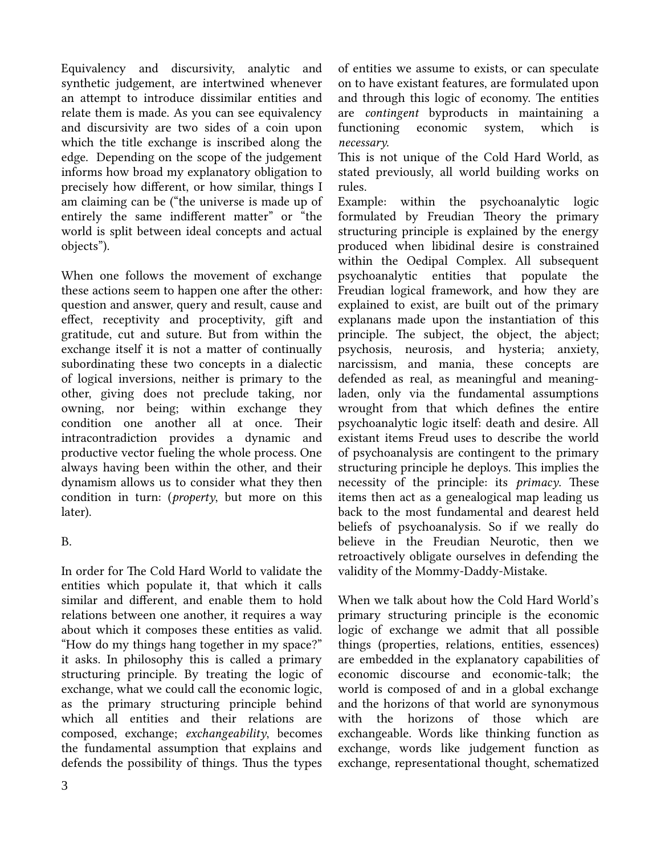Equivalency and discursivity, analytic and synthetic judgement, are intertwined whenever an attempt to introduce dissimilar entities and relate them is made. As you can see equivalency and discursivity are two sides of a coin upon which the title exchange is inscribed along the edge. Depending on the scope of the judgement informs how broad my explanatory obligation to precisely how different, or how similar, things I am claiming can be ("the universe is made up of entirely the same indifferent matter" or "the world is split between ideal concepts and actual objects").

When one follows the movement of exchange these actions seem to happen one after the other: question and answer, query and result, cause and effect, receptivity and proceptivity, gift and gratitude, cut and suture. But from within the exchange itself it is not a matter of continually subordinating these two concepts in a dialectic of logical inversions, neither is primary to the other, giving does not preclude taking, nor owning, nor being; within exchange they condition one another all at once. Their intracontradiction provides a dynamic and productive vector fueling the whole process. One always having been within the other, and their dynamism allows us to consider what they then condition in turn: (*property*, but more on this later).

## B.

In order for The Cold Hard World to validate the entities which populate it, that which it calls similar and different, and enable them to hold relations between one another, it requires a way about which it composes these entities as valid. "How do my things hang together in my space?" it asks. In philosophy this is called a primary structuring principle. By treating the logic of exchange, what we could call the economic logic, as the primary structuring principle behind which all entities and their relations are composed, exchange; exchangeability, becomes the fundamental assumption that explains and defends the possibility of things. Thus the types

of entities we assume to exists, or can speculate on to have existant features, are formulated upon and through this logic of economy. The entities are contingent byproducts in maintaining a functioning economic system, which is necessary.

This is not unique of the Cold Hard World, as stated previously, all world building works on rules.

Example: within the psychoanalytic logic formulated by Freudian Theory the primary structuring principle is explained by the energy produced when libidinal desire is constrained within the Oedipal Complex. All subsequent psychoanalytic entities that populate the Freudian logical framework, and how they are explained to exist, are built out of the primary explanans made upon the instantiation of this principle. The subject, the object, the abject; psychosis, neurosis, and hysteria; anxiety, narcissism, and mania, these concepts are defended as real, as meaningful and meaningladen, only via the fundamental assumptions wrought from that which defines the entire psychoanalytic logic itself: death and desire. All existant items Freud uses to describe the world of psychoanalysis are contingent to the primary structuring principle he deploys. This implies the necessity of the principle: its primacy. These items then act as a genealogical map leading us back to the most fundamental and dearest held beliefs of psychoanalysis. So if we really do believe in the Freudian Neurotic, then we retroactively obligate ourselves in defending the validity of the Mommy-Daddy-Mistake.

When we talk about how the Cold Hard World's primary structuring principle is the economic logic of exchange we admit that all possible things (properties, relations, entities, essences) are embedded in the explanatory capabilities of economic discourse and economic-talk; the world is composed of and in a global exchange and the horizons of that world are synonymous with the horizons of those which are exchangeable. Words like thinking function as exchange, words like judgement function as exchange, representational thought, schematized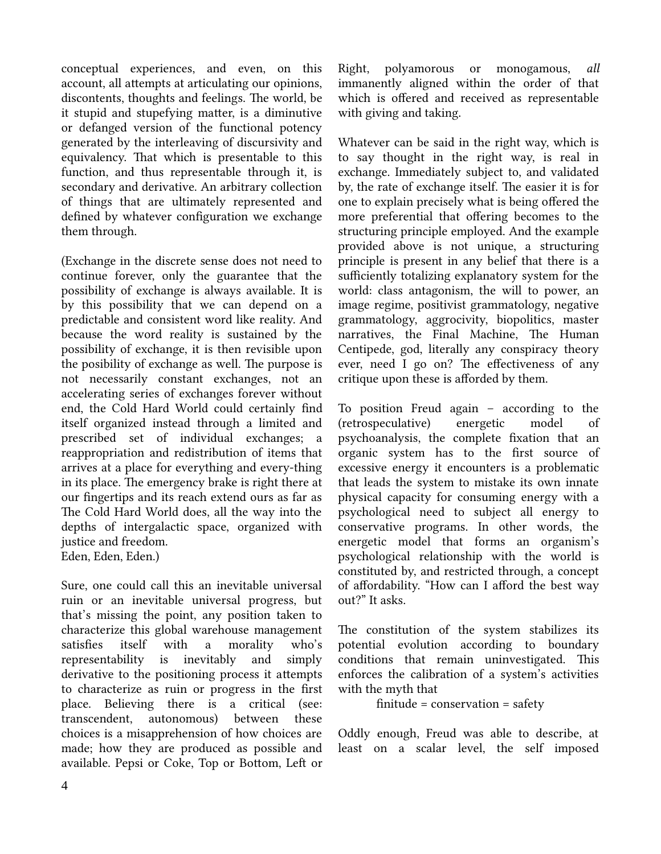conceptual experiences, and even, on this account, all attempts at articulating our opinions, discontents, thoughts and feelings. The world, be it stupid and stupefying matter, is a diminutive or defanged version of the functional potency generated by the interleaving of discursivity and equivalency. That which is presentable to this function, and thus representable through it, is secondary and derivative. An arbitrary collection of things that are ultimately represented and defined by whatever configuration we exchange them through.

(Exchange in the discrete sense does not need to continue forever, only the guarantee that the possibility of exchange is always available. It is by this possibility that we can depend on a predictable and consistent word like reality. And because the word reality is sustained by the possibility of exchange, it is then revisible upon the posibility of exchange as well. The purpose is not necessarily constant exchanges, not an accelerating series of exchanges forever without end, the Cold Hard World could certainly find itself organized instead through a limited and prescribed set of individual exchanges; a reappropriation and redistribution of items that arrives at a place for everything and every-thing in its place. The emergency brake is right there at our fingertips and its reach extend ours as far as The Cold Hard World does, all the way into the depths of intergalactic space, organized with justice and freedom. Eden, Eden, Eden.)

Sure, one could call this an inevitable universal ruin or an inevitable universal progress, but that's missing the point, any position taken to characterize this global warehouse management satisfies itself with a morality who's representability is inevitably and simply derivative to the positioning process it attempts to characterize as ruin or progress in the first place. Believing there is a critical (see: transcendent, autonomous) between these choices is a misapprehension of how choices are made; how they are produced as possible and available. Pepsi or Coke, Top or Bottom, Left or Right, polyamorous or monogamous, all immanently aligned within the order of that which is offered and received as representable with giving and taking.

Whatever can be said in the right way, which is to say thought in the right way, is real in exchange. Immediately subject to, and validated by, the rate of exchange itself. The easier it is for one to explain precisely what is being offered the more preferential that offering becomes to the structuring principle employed. And the example provided above is not unique, a structuring principle is present in any belief that there is a sufficiently totalizing explanatory system for the world: class antagonism, the will to power, an image regime, positivist grammatology, negative grammatology, aggrocivity, biopolitics, master narratives, the Final Machine, The Human Centipede, god, literally any conspiracy theory ever, need I go on? The effectiveness of any critique upon these is afforded by them.

To position Freud again – according to the (retrospeculative) energetic model of psychoanalysis, the complete fixation that an organic system has to the first source of excessive energy it encounters is a problematic that leads the system to mistake its own innate physical capacity for consuming energy with a psychological need to subject all energy to conservative programs. In other words, the energetic model that forms an organism's psychological relationship with the world is constituted by, and restricted through, a concept of affordability. "How can I afford the best way out?" It asks.

The constitution of the system stabilizes its potential evolution according to boundary conditions that remain uninvestigated. This enforces the calibration of a system's activities with the myth that

```
finite = conservation = safety
```
Oddly enough, Freud was able to describe, at least on a scalar level, the self imposed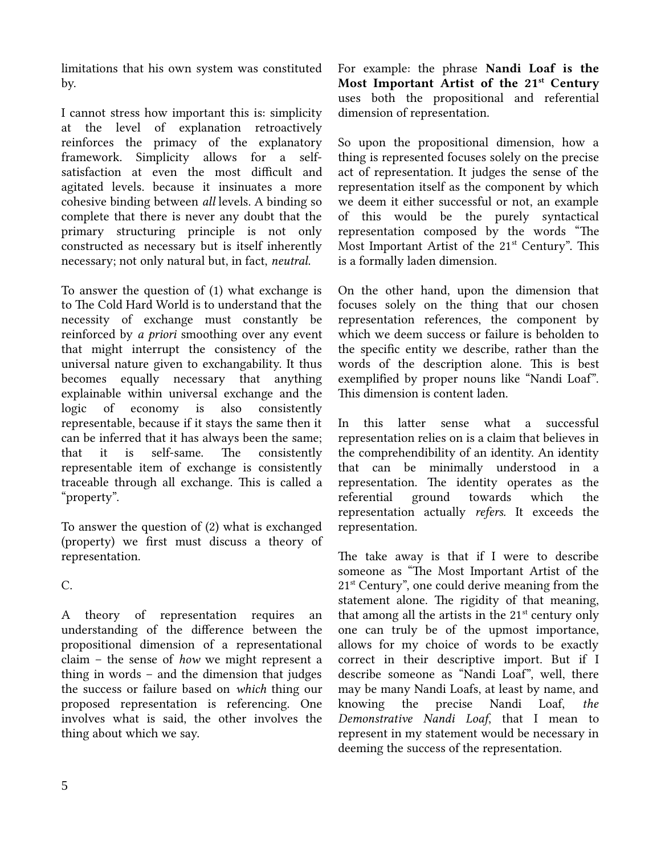limitations that his own system was constituted by.

I cannot stress how important this is: simplicity at the level of explanation retroactively reinforces the primacy of the explanatory framework. Simplicity allows for a selfsatisfaction at even the most difficult and agitated levels. because it insinuates a more cohesive binding between all levels. A binding so complete that there is never any doubt that the primary structuring principle is not only constructed as necessary but is itself inherently necessary; not only natural but, in fact, *neutral*.

To answer the question of (1) what exchange is to The Cold Hard World is to understand that the necessity of exchange must constantly be reinforced by a priori smoothing over any event that might interrupt the consistency of the universal nature given to exchangability. It thus becomes equally necessary that anything explainable within universal exchange and the logic of economy is also consistently representable, because if it stays the same then it can be inferred that it has always been the same; that it is self-same. The consistently representable item of exchange is consistently traceable through all exchange. This is called a "property".

To answer the question of (2) what is exchanged (property) we first must discuss a theory of representation.

C.

A theory of representation requires an understanding of the difference between the propositional dimension of a representational claim – the sense of how we might represent a thing in words – and the dimension that judges the success or failure based on which thing our proposed representation is referencing. One involves what is said, the other involves the thing about which we say.

For example: the phrase Nandi Loaf is the Most Important Artist of the  $21<sup>st</sup>$  Century uses both the propositional and referential dimension of representation.

So upon the propositional dimension, how a thing is represented focuses solely on the precise act of representation. It judges the sense of the representation itself as the component by which we deem it either successful or not, an example of this would be the purely syntactical representation composed by the words "The Most Important Artist of the  $21<sup>st</sup>$  Century". This is a formally laden dimension.

On the other hand, upon the dimension that focuses solely on the thing that our chosen representation references, the component by which we deem success or failure is beholden to the specific entity we describe, rather than the words of the description alone. This is best exemplified by proper nouns like "Nandi Loaf". This dimension is content laden.

In this latter sense what a successful representation relies on is a claim that believes in the comprehendibility of an identity. An identity that can be minimally understood in a representation. The identity operates as the referential ground towards which the representation actually refers. It exceeds the representation.

The take away is that if I were to describe someone as "The Most Important Artist of the 21<sup>st</sup> Century", one could derive meaning from the statement alone. The rigidity of that meaning, that among all the artists in the  $21<sup>st</sup>$  century only one can truly be of the upmost importance, allows for my choice of words to be exactly correct in their descriptive import. But if I describe someone as "Nandi Loaf", well, there may be many Nandi Loafs, at least by name, and knowing the precise Nandi Loaf, the Demonstrative Nandi Loaf, that I mean to represent in my statement would be necessary in deeming the success of the representation.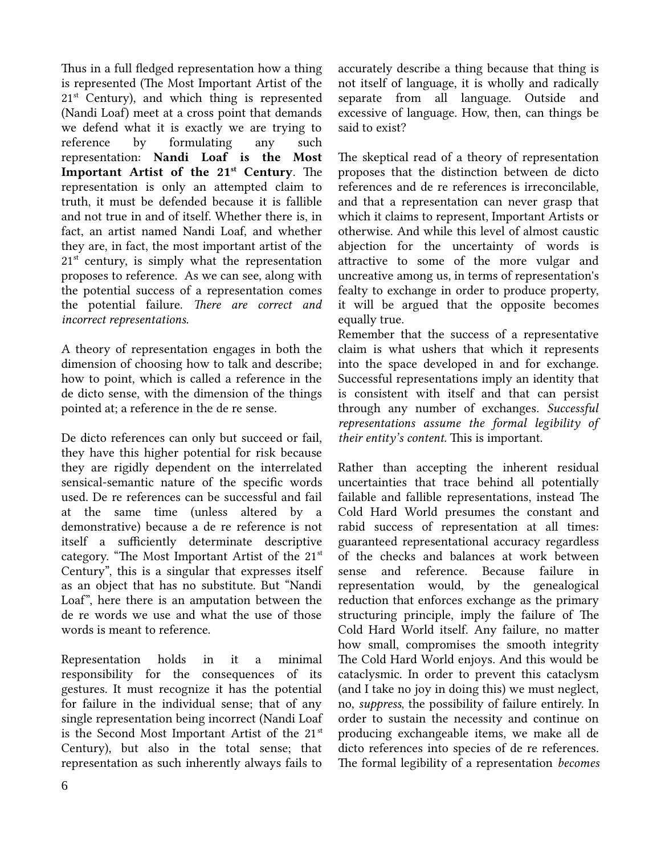Thus in a full fledged representation how a thing is represented (The Most Important Artist of the  $21<sup>st</sup>$  Century), and which thing is represented (Nandi Loaf) meet at a cross point that demands we defend what it is exactly we are trying to reference by formulating any such representation: Nandi Loaf is the Most Important Artist of the 21<sup>st</sup> Century. The representation is only an attempted claim to truth, it must be defended because it is fallible and not true in and of itself. Whether there is, in fact, an artist named Nandi Loaf, and whether they are, in fact, the most important artist of the  $21<sup>st</sup>$  century, is simply what the representation proposes to reference. As we can see, along with the potential success of a representation comes the potential failure. There are correct and incorrect representations.

A theory of representation engages in both the dimension of choosing how to talk and describe; how to point, which is called a reference in the de dicto sense, with the dimension of the things pointed at; a reference in the de re sense.

De dicto references can only but succeed or fail, they have this higher potential for risk because they are rigidly dependent on the interrelated sensical-semantic nature of the specific words used. De re references can be successful and fail at the same time (unless altered by a demonstrative) because a de re reference is not itself a sufficiently determinate descriptive category. "The Most Important Artist of the  $21<sup>st</sup>$ Century", this is a singular that expresses itself as an object that has no substitute. But "Nandi Loaf", here there is an amputation between the de re words we use and what the use of those words is meant to reference.

Representation holds in it a minimal responsibility for the consequences of its gestures. It must recognize it has the potential for failure in the individual sense; that of any single representation being incorrect (Nandi Loaf is the Second Most Important Artist of the 21<sup>st</sup> Century), but also in the total sense; that representation as such inherently always fails to accurately describe a thing because that thing is not itself of language, it is wholly and radically separate from all language. Outside and excessive of language. How, then, can things be said to exist?

The skeptical read of a theory of representation proposes that the distinction between de dicto references and de re references is irreconcilable, and that a representation can never grasp that which it claims to represent, Important Artists or otherwise. And while this level of almost caustic abjection for the uncertainty of words is attractive to some of the more vulgar and uncreative among us, in terms of representation's fealty to exchange in order to produce property, it will be argued that the opposite becomes equally true.

Remember that the success of a representative claim is what ushers that which it represents into the space developed in and for exchange. Successful representations imply an identity that is consistent with itself and that can persist through any number of exchanges. Successful representations assume the formal legibility of their entity's content. This is important.

Rather than accepting the inherent residual uncertainties that trace behind all potentially failable and fallible representations, instead The Cold Hard World presumes the constant and rabid success of representation at all times: guaranteed representational accuracy regardless of the checks and balances at work between sense and reference. Because failure in representation would, by the genealogical reduction that enforces exchange as the primary structuring principle, imply the failure of The Cold Hard World itself. Any failure, no matter how small, compromises the smooth integrity The Cold Hard World enjoys. And this would be cataclysmic. In order to prevent this cataclysm (and I take no joy in doing this) we must neglect, no, suppress, the possibility of failure entirely. In order to sustain the necessity and continue on producing exchangeable items, we make all de dicto references into species of de re references. The formal legibility of a representation becomes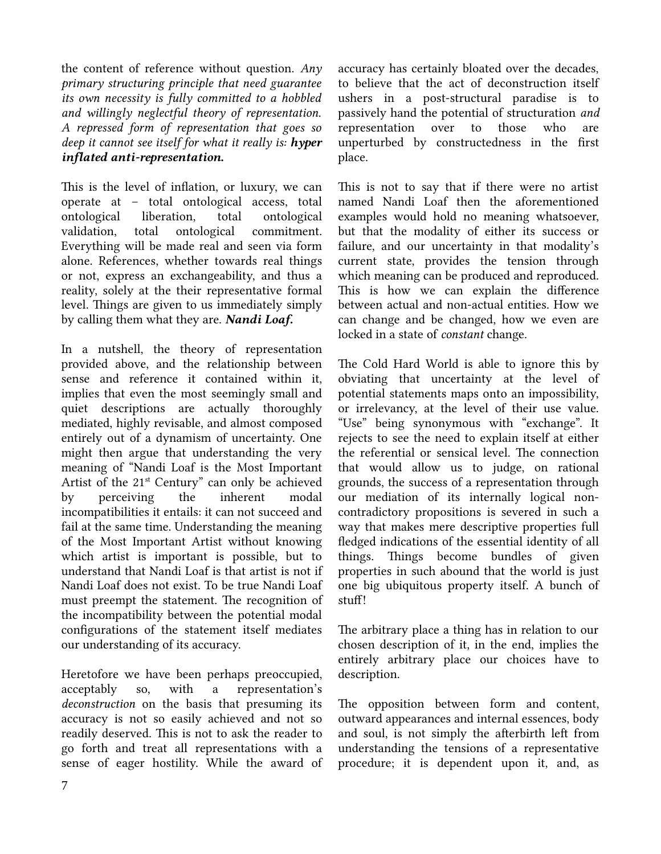the content of reference without question.  $Any$ primary structuring principle that need guarantee its own necessity is fully committed to a hobbled and willingly neglectful theory of representation. A repressed form of representation that goes so deep it cannot see itself for what it really is:  $h$ yper inflated anti-representation.

This is the level of inflation, or luxury, we can operate at – total ontological access, total ontological liberation, total ontological validation, total ontological commitment. Everything will be made real and seen via form alone. References, whether towards real things or not, express an exchangeability, and thus a reality, solely at the their representative formal level. Things are given to us immediately simply by calling them what they are. **Nandi Loaf.** 

In a nutshell, the theory of representation provided above, and the relationship between sense and reference it contained within it, implies that even the most seemingly small and quiet descriptions are actually thoroughly mediated, highly revisable, and almost composed entirely out of a dynamism of uncertainty. One might then argue that understanding the very meaning of "Nandi Loaf is the Most Important Artist of the 21<sup>st</sup> Century" can only be achieved by perceiving the inherent modal incompatibilities it entails: it can not succeed and fail at the same time. Understanding the meaning of the Most Important Artist without knowing which artist is important is possible, but to understand that Nandi Loaf is that artist is not if Nandi Loaf does not exist. To be true Nandi Loaf must preempt the statement. The recognition of the incompatibility between the potential modal configurations of the statement itself mediates our understanding of its accuracy.

Heretofore we have been perhaps preoccupied, acceptably so, with a representation's deconstruction on the basis that presuming its accuracy is not so easily achieved and not so readily deserved. This is not to ask the reader to go forth and treat all representations with a sense of eager hostility. While the award of accuracy has certainly bloated over the decades, to believe that the act of deconstruction itself ushers in a post-structural paradise is to passively hand the potential of structuration and representation over to those who are unperturbed by constructedness in the first place.

This is not to say that if there were no artist named Nandi Loaf then the aforementioned examples would hold no meaning whatsoever, but that the modality of either its success or failure, and our uncertainty in that modality's current state, provides the tension through which meaning can be produced and reproduced. This is how we can explain the difference between actual and non-actual entities. How we can change and be changed, how we even are locked in a state of constant change.

The Cold Hard World is able to ignore this by obviating that uncertainty at the level of potential statements maps onto an impossibility, or irrelevancy, at the level of their use value. "Use" being synonymous with "exchange". It rejects to see the need to explain itself at either the referential or sensical level. The connection that would allow us to judge, on rational grounds, the success of a representation through our mediation of its internally logical noncontradictory propositions is severed in such a way that makes mere descriptive properties full fledged indications of the essential identity of all things. Things become bundles of given properties in such abound that the world is just one big ubiquitous property itself. A bunch of stuff!

The arbitrary place a thing has in relation to our chosen description of it, in the end, implies the entirely arbitrary place our choices have to description.

The opposition between form and content, outward appearances and internal essences, body and soul, is not simply the afterbirth left from understanding the tensions of a representative procedure; it is dependent upon it, and, as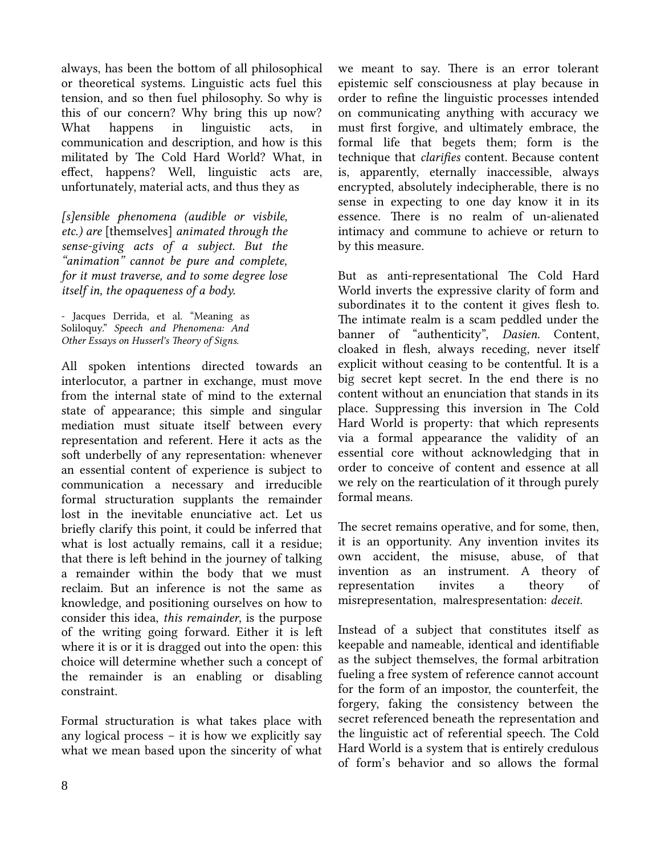always, has been the bottom of all philosophical or theoretical systems. Linguistic acts fuel this tension, and so then fuel philosophy. So why is this of our concern? Why bring this up now? What happens in linguistic acts, communication and description, and how is this militated by The Cold Hard World? What, in effect, happens? Well, linguistic acts are, unfortunately, material acts, and thus they as

[s]ensible phenomena (audible or visbile, etc.) are [themselves] animated through the sense-giving acts of a subject. But the "animation" cannot be pure and complete, for it must traverse, and to some degree lose itself in, the opaqueness of a body.

- Jacques Derrida, et al. "Meaning as Soliloquy." Speech and Phenomena: And Other Essays on Husserl's Theory of Signs.

All spoken intentions directed towards an interlocutor, a partner in exchange, must move from the internal state of mind to the external state of appearance; this simple and singular mediation must situate itself between every representation and referent. Here it acts as the soft underbelly of any representation: whenever an essential content of experience is subject to communication a necessary and irreducible formal structuration supplants the remainder lost in the inevitable enunciative act. Let us briefly clarify this point, it could be inferred that what is lost actually remains, call it a residue; that there is left behind in the journey of talking a remainder within the body that we must reclaim. But an inference is not the same as knowledge, and positioning ourselves on how to consider this idea, this remainder, is the purpose of the writing going forward. Either it is left where it is or it is dragged out into the open: this choice will determine whether such a concept of the remainder is an enabling or disabling constraint.

Formal structuration is what takes place with any logical process – it is how we explicitly say what we mean based upon the sincerity of what we meant to say. There is an error tolerant epistemic self consciousness at play because in order to refine the linguistic processes intended on communicating anything with accuracy we must first forgive, and ultimately embrace, the formal life that begets them; form is the technique that clarifies content. Because content is, apparently, eternally inaccessible, always encrypted, absolutely indecipherable, there is no sense in expecting to one day know it in its essence. There is no realm of un-alienated intimacy and commune to achieve or return to by this measure.

But as anti-representational The Cold Hard World inverts the expressive clarity of form and subordinates it to the content it gives flesh to. The intimate realm is a scam peddled under the banner of "authenticity", Dasien. Content, cloaked in flesh, always receding, never itself explicit without ceasing to be contentful. It is a big secret kept secret. In the end there is no content without an enunciation that stands in its place. Suppressing this inversion in The Cold Hard World is property: that which represents via a formal appearance the validity of an essential core without acknowledging that in order to conceive of content and essence at all we rely on the rearticulation of it through purely formal means.

The secret remains operative, and for some, then, it is an opportunity. Any invention invites its own accident, the misuse, abuse, of that invention as an instrument. A theory of representation invites a theory of misrepresentation, malrespresentation: deceit.

Instead of a subject that constitutes itself as keepable and nameable, identical and identifiable as the subject themselves, the formal arbitration fueling a free system of reference cannot account for the form of an impostor, the counterfeit, the forgery, faking the consistency between the secret referenced beneath the representation and the linguistic act of referential speech. The Cold Hard World is a system that is entirely credulous of form's behavior and so allows the formal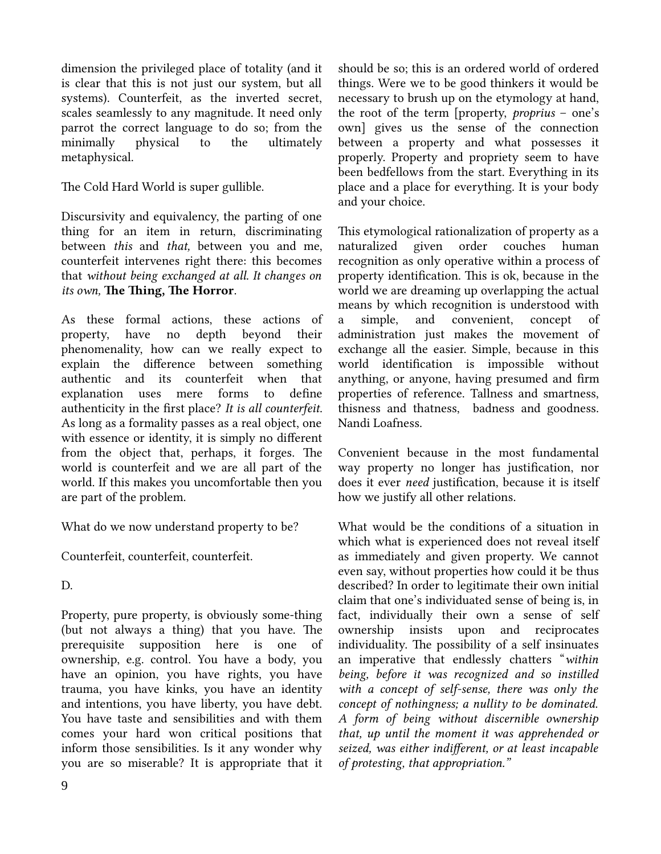dimension the privileged place of totality (and it is clear that this is not just our system, but all systems). Counterfeit, as the inverted secret, scales seamlessly to any magnitude. It need only parrot the correct language to do so; from the minimally physical to the ultimately metaphysical.

The Cold Hard World is super gullible.

Discursivity and equivalency, the parting of one thing for an item in return, discriminating between this and that, between you and me, counterfeit intervenes right there: this becomes that without being exchanged at all. It changes on its own, The Thing, The Horror.

As these formal actions, these actions of property, have no depth beyond their phenomenality, how can we really expect to explain the difference between something authentic and its counterfeit when that explanation uses mere forms to define authenticity in the first place? It is all counterfeit. As long as a formality passes as a real object, one with essence or identity, it is simply no different from the object that, perhaps, it forges. The world is counterfeit and we are all part of the world. If this makes you uncomfortable then you are part of the problem.

What do we now understand property to be?

Counterfeit, counterfeit, counterfeit.

D.

Property, pure property, is obviously some-thing (but not always a thing) that you have. The prerequisite supposition here is one of ownership, e.g. control. You have a body, you have an opinion, you have rights, you have trauma, you have kinks, you have an identity and intentions, you have liberty, you have debt. You have taste and sensibilities and with them comes your hard won critical positions that inform those sensibilities. Is it any wonder why you are so miserable? It is appropriate that it should be so; this is an ordered world of ordered things. Were we to be good thinkers it would be necessary to brush up on the etymology at hand, the root of the term [property, proprius – one's own] gives us the sense of the connection between a property and what possesses it properly. Property and propriety seem to have been bedfellows from the start. Everything in its place and a place for everything. It is your body and your choice.

This etymological rationalization of property as a naturalized given order couches human recognition as only operative within a process of property identification. This is ok, because in the world we are dreaming up overlapping the actual means by which recognition is understood with a simple, and convenient, concept of administration just makes the movement of exchange all the easier. Simple, because in this world identification is impossible without anything, or anyone, having presumed and firm properties of reference. Tallness and smartness, thisness and thatness, badness and goodness. Nandi Loafness.

Convenient because in the most fundamental way property no longer has justification, nor does it ever need justification, because it is itself how we justify all other relations.

What would be the conditions of a situation in which what is experienced does not reveal itself as immediately and given property. We cannot even say, without properties how could it be thus described? In order to legitimate their own initial claim that one's individuated sense of being is, in fact, individually their own a sense of self ownership insists upon and reciprocates individuality. The possibility of a self insinuates an imperative that endlessly chatters "within being, before it was recognized and so instilled with a concept of self-sense, there was only the concept of nothingness; a nullity to be dominated. A form of being without discernible ownership that, up until the moment it was apprehended or seized, was either indifferent, or at least incapable of protesting, that appropriation."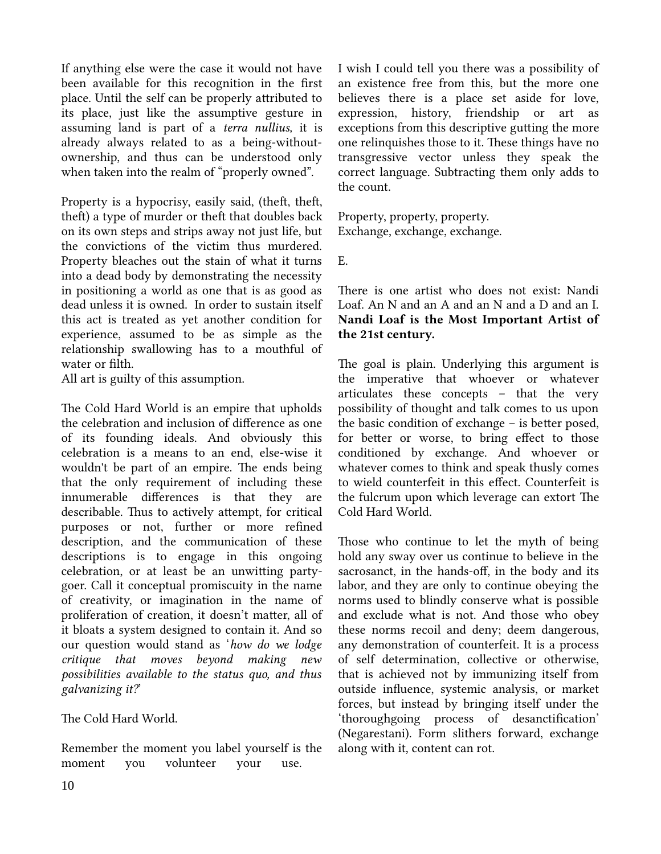If anything else were the case it would not have been available for this recognition in the first place. Until the self can be properly attributed to its place, just like the assumptive gesture in assuming land is part of a terra nullius, it is already always related to as a being-withoutownership, and thus can be understood only when taken into the realm of "properly owned".

Property is a hypocrisy, easily said, (theft, theft, theft) a type of murder or theft that doubles back on its own steps and strips away not just life, but the convictions of the victim thus murdered. Property bleaches out the stain of what it turns into a dead body by demonstrating the necessity in positioning a world as one that is as good as dead unless it is owned. In order to sustain itself this act is treated as yet another condition for experience, assumed to be as simple as the relationship swallowing has to a mouthful of water or filth.

All art is guilty of this assumption.

The Cold Hard World is an empire that upholds the celebration and inclusion of difference as one of its founding ideals. And obviously this celebration is a means to an end, else-wise it wouldn't be part of an empire. The ends being that the only requirement of including these innumerable differences is that they are describable. Thus to actively attempt, for critical purposes or not, further or more refined description, and the communication of these descriptions is to engage in this ongoing celebration, or at least be an unwitting partygoer. Call it conceptual promiscuity in the name of creativity, or imagination in the name of proliferation of creation, it doesn't matter, all of it bloats a system designed to contain it. And so our question would stand as 'how do we lodge critique that moves beyond making new possibilities available to the status quo, and thus galvanizing it?'

The Cold Hard World.

Remember the moment you label yourself is the moment you volunteer your use.

I wish I could tell you there was a possibility of an existence free from this, but the more one believes there is a place set aside for love, expression, history, friendship or art as exceptions from this descriptive gutting the more one relinquishes those to it. These things have no transgressive vector unless they speak the correct language. Subtracting them only adds to the count.

Property, property, property. Exchange, exchange, exchange.

E.

There is one artist who does not exist: Nandi Loaf. An N and an A and an N and a D and an I. Nandi Loaf is the Most Important Artist of the 21st century.

The goal is plain. Underlying this argument is the imperative that whoever or whatever articulates these concepts – that the very possibility of thought and talk comes to us upon the basic condition of exchange – is better posed, for better or worse, to bring effect to those conditioned by exchange. And whoever or whatever comes to think and speak thusly comes to wield counterfeit in this effect. Counterfeit is the fulcrum upon which leverage can extort The Cold Hard World.

Those who continue to let the myth of being hold any sway over us continue to believe in the sacrosanct, in the hands-off, in the body and its labor, and they are only to continue obeying the norms used to blindly conserve what is possible and exclude what is not. And those who obey these norms recoil and deny; deem dangerous, any demonstration of counterfeit. It is a process of self determination, collective or otherwise, that is achieved not by immunizing itself from outside influence, systemic analysis, or market forces, but instead by bringing itself under the 'thoroughgoing process of desanctification' (Negarestani). Form slithers forward, exchange along with it, content can rot.